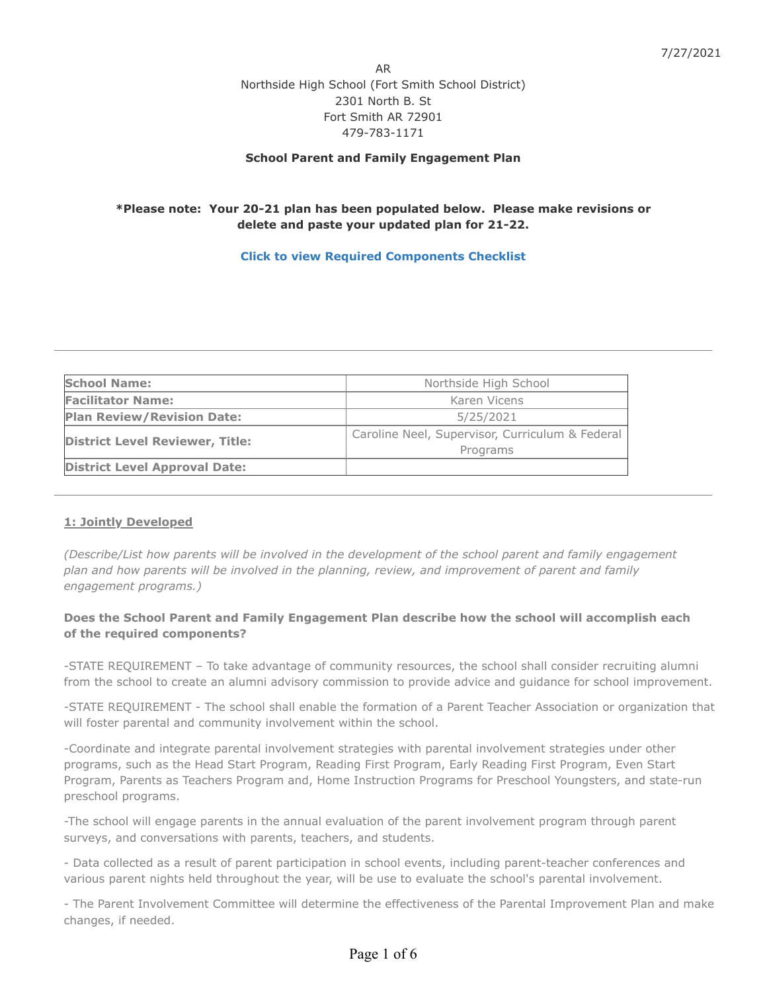AR Northside High School (Fort Smith School District) 2301 North B. St Fort Smith AR 72901 479-783-1171

## **School Parent and Family Engagement Plan**

## **\*Please note: Your 20-21 plan has been populated below. Please make revisions or delete and paste your updated plan for 21-22.**

## **[Click to view Required Components Checklist](https://www.indistar.org/app/DashboardDocs/Arkansas/2021FamilyEngChecklistComponents_School.pdf)**

| <b>School Name:</b>                    | Northside High School                           |
|----------------------------------------|-------------------------------------------------|
| <b>Facilitator Name:</b>               | Karen Vicens                                    |
| <b>Plan Review/Revision Date:</b>      | 5/25/2021                                       |
| <b>District Level Reviewer, Title:</b> | Caroline Neel, Supervisor, Curriculum & Federal |
|                                        | Programs                                        |
| <b>District Level Approval Date:</b>   |                                                 |

#### **1: Jointly Developed**

*(Describe/List how parents will be involved in the development of the school parent and family engagement plan and how parents will be involved in the planning, review, and improvement of parent and family engagement programs.)*

## **Does the School Parent and Family Engagement Plan describe how the school will accomplish each of the required components?**

-STATE REQUIREMENT – To take advantage of community resources, the school shall consider recruiting alumni from the school to create an alumni advisory commission to provide advice and guidance for school improvement.

-STATE REQUIREMENT - The school shall enable the formation of a Parent Teacher Association or organization that will foster parental and community involvement within the school.

-Coordinate and integrate parental involvement strategies with parental involvement strategies under other programs, such as the Head Start Program, Reading First Program, Early Reading First Program, Even Start Program, Parents as Teachers Program and, Home Instruction Programs for Preschool Youngsters, and state-run preschool programs.

-The school will engage parents in the annual evaluation of the parent involvement program through parent surveys, and conversations with parents, teachers, and students.

- Data collected as a result of parent participation in school events, including parent-teacher conferences and various parent nights held throughout the year, will be use to evaluate the school's parental involvement.

- The Parent Involvement Committee will determine the effectiveness of the Parental Improvement Plan and make changes, if needed.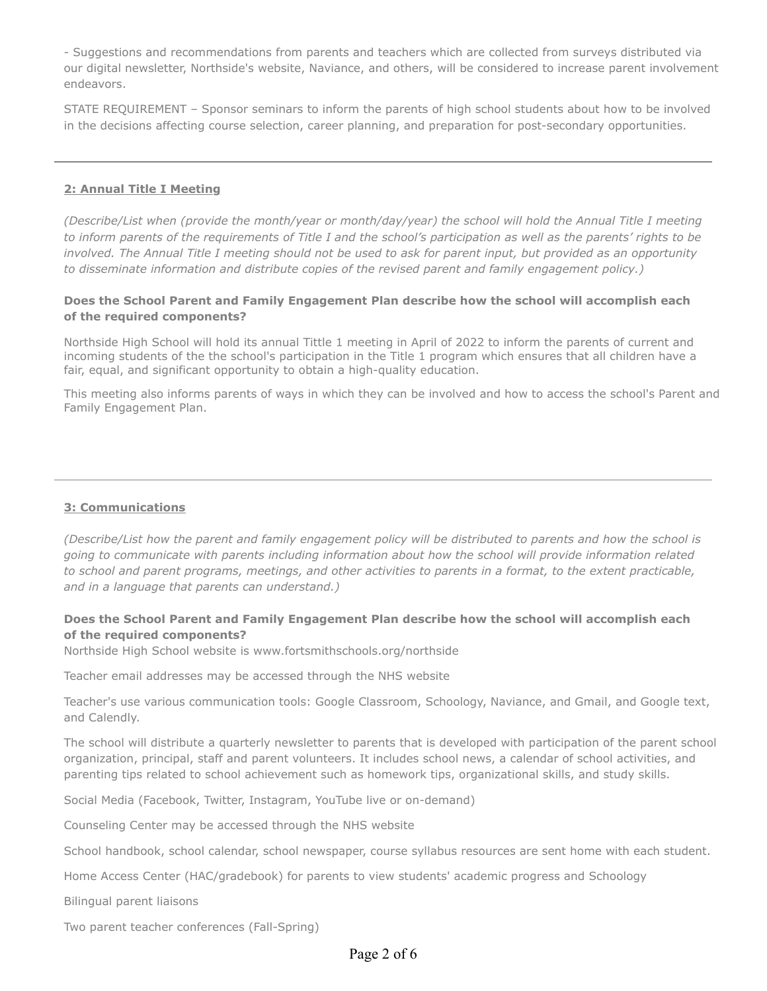- Suggestions and recommendations from parents and teachers which are collected from surveys distributed via our digital newsletter, Northside's website, Naviance, and others, will be considered to increase parent involvement endeavors.

STATE REQUIREMENT – Sponsor seminars to inform the parents of high school students about how to be involved in the decisions affecting course selection, career planning, and preparation for post-secondary opportunities.

## **2: Annual Title I Meeting**

*(Describe/List when (provide the month/year or month/day/year) the school will hold the Annual Title I meeting to inform parents of the requirements of Title I and the school's participation as well as the parents' rights to be involved. The Annual Title I meeting should not be used to ask for parent input, but provided as an opportunity to disseminate information and distribute copies of the revised parent and family engagement policy.)*

## **Does the School Parent and Family Engagement Plan describe how the school will accomplish each of the required components?**

Northside High School will hold its annual Tittle 1 meeting in April of 2022 to inform the parents of current and incoming students of the the school's participation in the Title 1 program which ensures that all children have a fair, equal, and significant opportunity to obtain a high-quality education.

This meeting also informs parents of ways in which they can be involved and how to access the school's Parent and Family Engagement Plan.

#### **3: Communications**

*(Describe/List how the parent and family engagement policy will be distributed to parents and how the school is going to communicate with parents including information about how the school will provide information related to school and parent programs, meetings, and other activities to parents in a format, to the extent practicable, and in a language that parents can understand.)*

## **Does the School Parent and Family Engagement Plan describe how the school will accomplish each of the required components?**

Northside High School website is www.fortsmithschools.org/northside

Teacher email addresses may be accessed through the NHS website

Teacher's use various communication tools: Google Classroom, Schoology, Naviance, and Gmail, and Google text, and Calendly.

The school will distribute a quarterly newsletter to parents that is developed with participation of the parent school organization, principal, staff and parent volunteers. It includes school news, a calendar of school activities, and parenting tips related to school achievement such as homework tips, organizational skills, and study skills.

Social Media (Facebook, Twitter, Instagram, YouTube live or on-demand)

Counseling Center may be accessed through the NHS website

School handbook, school calendar, school newspaper, course syllabus resources are sent home with each student.

Home Access Center (HAC/gradebook) for parents to view students' academic progress and Schoology

Bilingual parent liaisons

Two parent teacher conferences (Fall-Spring)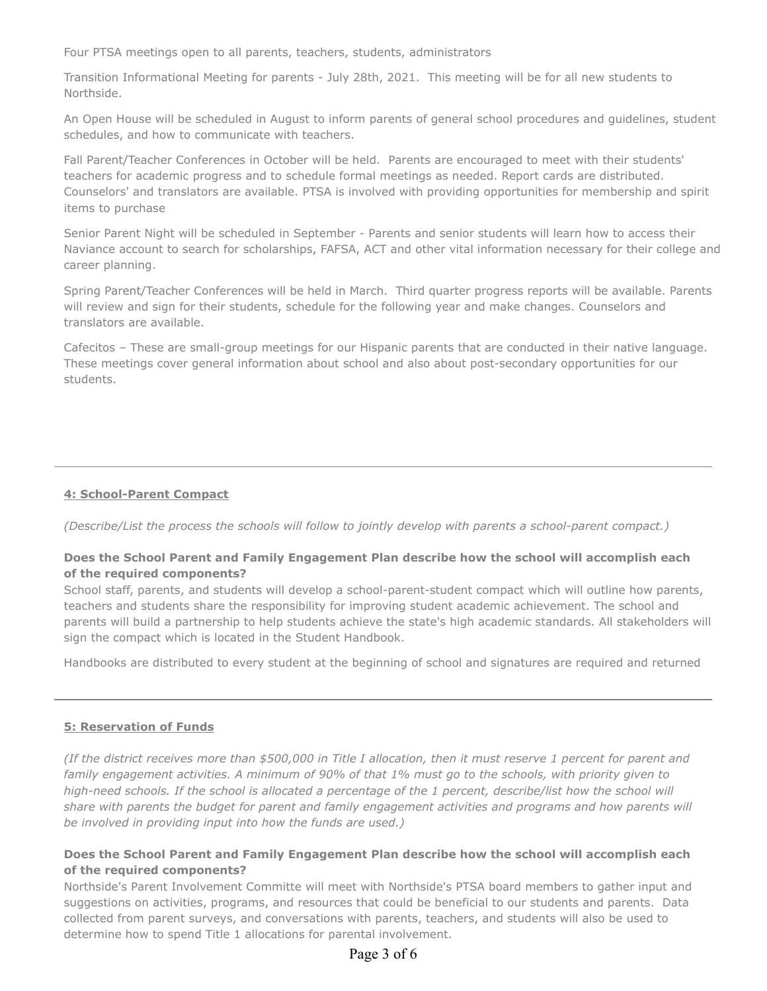Four PTSA meetings open to all parents, teachers, students, administrators

Transition Informational Meeting for parents - July 28th, 2021. This meeting will be for all new students to Northside.

An Open House will be scheduled in August to inform parents of general school procedures and guidelines, student schedules, and how to communicate with teachers.

Fall Parent/Teacher Conferences in October will be held. Parents are encouraged to meet with their students' teachers for academic progress and to schedule formal meetings as needed. Report cards are distributed. Counselors' and translators are available. PTSA is involved with providing opportunities for membership and spirit items to purchase

Senior Parent Night will be scheduled in September - Parents and senior students will learn how to access their Naviance account to search for scholarships, FAFSA, ACT and other vital information necessary for their college and career planning.

Spring Parent/Teacher Conferences will be held in March. Third quarter progress reports will be available. Parents will review and sign for their students, schedule for the following year and make changes. Counselors and translators are available.

Cafecitos – These are small-group meetings for our Hispanic parents that are conducted in their native language. These meetings cover general information about school and also about post-secondary opportunities for our students.

#### **4: School-Parent Compact**

*(Describe/List the process the schools will follow to jointly develop with parents a school-parent compact.)*

## **Does the School Parent and Family Engagement Plan describe how the school will accomplish each of the required components?**

School staff, parents, and students will develop a school-parent-student compact which will outline how parents, teachers and students share the responsibility for improving student academic achievement. The school and parents will build a partnership to help students achieve the state's high academic standards. All stakeholders will sign the compact which is located in the Student Handbook.

Handbooks are distributed to every student at the beginning of school and signatures are required and returned

#### **5: Reservation of Funds**

*(If the district receives more than \$500,000 in Title I allocation, then it must reserve 1 percent for parent and family engagement activities. A minimum of 90% of that 1% must go to the schools, with priority given to high-need schools. If the school is allocated a percentage of the 1 percent, describe/list how the school will share with parents the budget for parent and family engagement activities and programs and how parents will be involved in providing input into how the funds are used.)*

## **Does the School Parent and Family Engagement Plan describe how the school will accomplish each of the required components?**

Northside's Parent Involvement Committe will meet with Northside's PTSA board members to gather input and suggestions on activities, programs, and resources that could be beneficial to our students and parents. Data collected from parent surveys, and conversations with parents, teachers, and students will also be used to determine how to spend Title 1 allocations for parental involvement.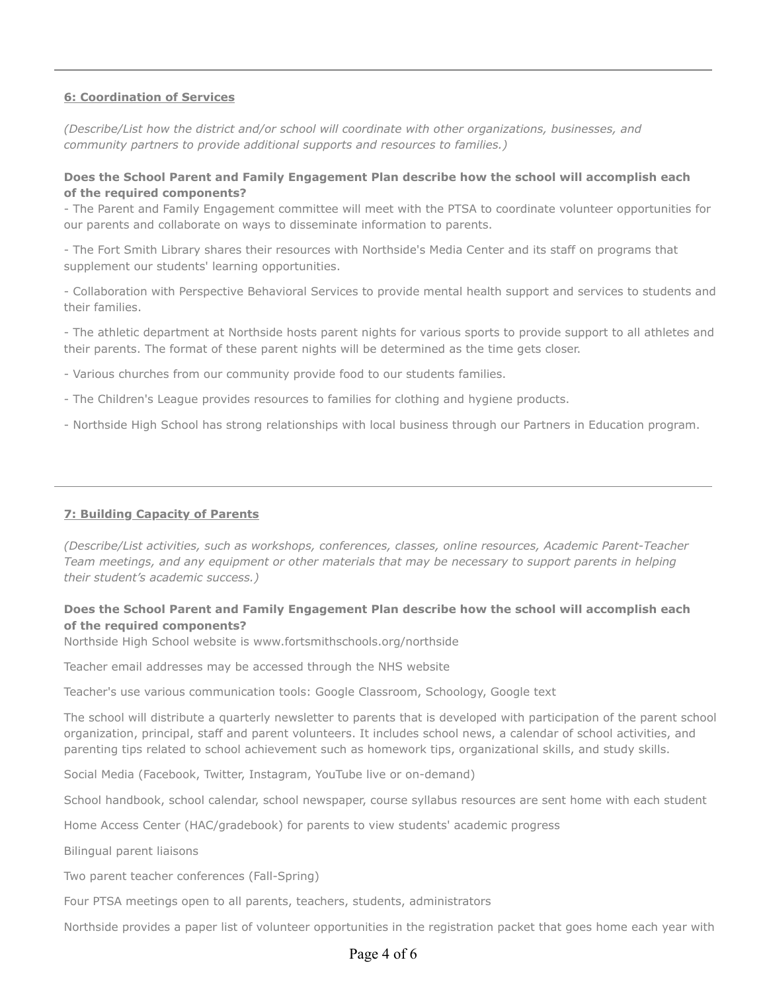#### **6: Coordination of Services**

*(Describe/List how the district and/or school will coordinate with other organizations, businesses, and community partners to provide additional supports and resources to families.)*

## **Does the School Parent and Family Engagement Plan describe how the school will accomplish each of the required components?**

- The Parent and Family Engagement committee will meet with the PTSA to coordinate volunteer opportunities for our parents and collaborate on ways to disseminate information to parents.

- The Fort Smith Library shares their resources with Northside's Media Center and its staff on programs that supplement our students' learning opportunities.

- Collaboration with Perspective Behavioral Services to provide mental health support and services to students and their families.

- The athletic department at Northside hosts parent nights for various sports to provide support to all athletes and their parents. The format of these parent nights will be determined as the time gets closer.

- Various churches from our community provide food to our students families.
- The Children's League provides resources to families for clothing and hygiene products.
- Northside High School has strong relationships with local business through our Partners in Education program.

#### **7: Building Capacity of Parents**

*(Describe/List activities, such as workshops, conferences, classes, online resources, Academic Parent-Teacher Team meetings, and any equipment or other materials that may be necessary to support parents in helping their student's academic success.)*

## **Does the School Parent and Family Engagement Plan describe how the school will accomplish each of the required components?**

Northside High School website is www.fortsmithschools.org/northside

Teacher email addresses may be accessed through the NHS website

Teacher's use various communication tools: Google Classroom, Schoology, Google text

The school will distribute a quarterly newsletter to parents that is developed with participation of the parent school organization, principal, staff and parent volunteers. It includes school news, a calendar of school activities, and parenting tips related to school achievement such as homework tips, organizational skills, and study skills.

Social Media (Facebook, Twitter, Instagram, YouTube live or on-demand)

School handbook, school calendar, school newspaper, course syllabus resources are sent home with each student

Home Access Center (HAC/gradebook) for parents to view students' academic progress

Bilingual parent liaisons

Two parent teacher conferences (Fall-Spring)

Four PTSA meetings open to all parents, teachers, students, administrators

Northside provides a paper list of volunteer opportunities in the registration packet that goes home each year with

# Page 4 of 6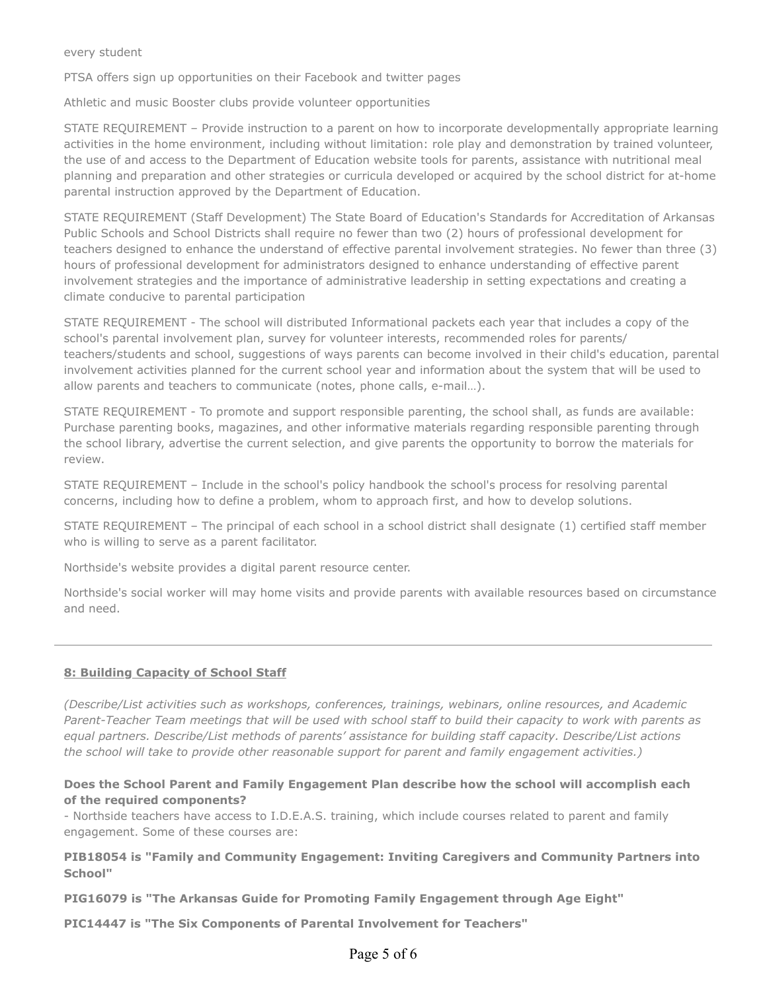#### every student

PTSA offers sign up opportunities on their Facebook and twitter pages

Athletic and music Booster clubs provide volunteer opportunities

STATE REQUIREMENT – Provide instruction to a parent on how to incorporate developmentally appropriate learning activities in the home environment, including without limitation: role play and demonstration by trained volunteer, the use of and access to the Department of Education website tools for parents, assistance with nutritional meal planning and preparation and other strategies or curricula developed or acquired by the school district for at-home parental instruction approved by the Department of Education.

STATE REQUIREMENT (Staff Development) The State Board of Education's Standards for Accreditation of Arkansas Public Schools and School Districts shall require no fewer than two (2) hours of professional development for teachers designed to enhance the understand of effective parental involvement strategies. No fewer than three (3) hours of professional development for administrators designed to enhance understanding of effective parent involvement strategies and the importance of administrative leadership in setting expectations and creating a climate conducive to parental participation

STATE REQUIREMENT - The school will distributed Informational packets each year that includes a copy of the school's parental involvement plan, survey for volunteer interests, recommended roles for parents/ teachers/students and school, suggestions of ways parents can become involved in their child's education, parental involvement activities planned for the current school year and information about the system that will be used to allow parents and teachers to communicate (notes, phone calls, e-mail…).

STATE REQUIREMENT - To promote and support responsible parenting, the school shall, as funds are available: Purchase parenting books, magazines, and other informative materials regarding responsible parenting through the school library, advertise the current selection, and give parents the opportunity to borrow the materials for review.

STATE REQUIREMENT – Include in the school's policy handbook the school's process for resolving parental concerns, including how to define a problem, whom to approach first, and how to develop solutions.

STATE REQUIREMENT – The principal of each school in a school district shall designate (1) certified staff member who is willing to serve as a parent facilitator.

Northside's website provides a digital parent resource center.

Northside's social worker will may home visits and provide parents with available resources based on circumstance and need.

## **8: Building Capacity of School Staff**

*(Describe/List activities such as workshops, conferences, trainings, webinars, online resources, and Academic Parent-Teacher Team meetings that will be used with school staff to build their capacity to work with parents as equal partners. Describe/List methods of parents' assistance for building staff capacity. Describe/List actions the school will take to provide other reasonable support for parent and family engagement activities.)*

## **Does the School Parent and Family Engagement Plan describe how the school will accomplish each of the required components?**

- Northside teachers have access to I.D.E.A.S. training, which include courses related to parent and family engagement. Some of these courses are:

**PIB18054 is "Family and Community Engagement: Inviting Caregivers and Community Partners into School"**

**PIG16079 is "The Arkansas Guide for Promoting Family Engagement through Age Eight"**

**PIC14447 is "The Six Components of Parental Involvement for Teachers"**